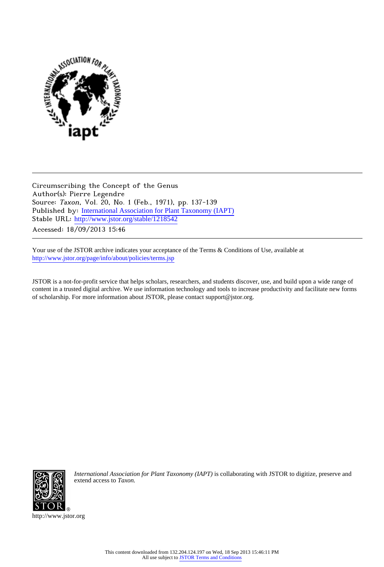

Circumscribing the Concept of the Genus Author(s): Pierre Legendre Source: Taxon, Vol. 20, No. 1 (Feb., 1971), pp. 137-139 Published by: [International Association for Plant Taxonomy \(IAPT\)](http://www.jstor.org/action/showPublisher?publisherCode=iapt) Stable URL: [http://www.jstor.org/stable/1218542](http://www.jstor.org/stable/1218542?origin=JSTOR-pdf) Accessed: 18/09/2013 15:46

Your use of the JSTOR archive indicates your acceptance of the Terms & Conditions of Use, available at <http://www.jstor.org/page/info/about/policies/terms.jsp>

JSTOR is a not-for-profit service that helps scholars, researchers, and students discover, use, and build upon a wide range of content in a trusted digital archive. We use information technology and tools to increase productivity and facilitate new forms of scholarship. For more information about JSTOR, please contact support@jstor.org.



*International Association for Plant Taxonomy (IAPT)* is collaborating with JSTOR to digitize, preserve and extend access to *Taxon.*

http://www.jstor.org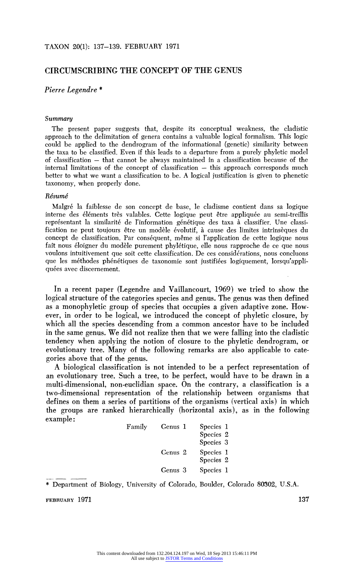# **CIRCUMSCRIBING THE CONCEPT OF THE GENUS**

## **Pierre Legendre \***

### **Summary**

**The present paper suggests that, despite its conceptual weakness, the cladistic approach to the delimitation of genera contains a valuable logical formalism. This logic could be applied to the dendrogram of the informational (genetic) similarity between the taxa to be classified. Even if this leads to a departure from a purely phyletic model of classification - that cannot be always maintained in a classification because of the**  internal limitations of the concept of classification  $-$  this approach corresponds much **better to what we want a classification to be. A logical justification is given to phenetic taxonomy, when properly done.** 

#### **Resume**

**Malgre la faiblesse de son concept de base, le cladisme contient dans sa logique interne des elements tres valables. Cette logique peut etre appliquee au semi-treillis**  représentant la similarité de l'information génétique des taxa à classifier. Une classification ne peut toujours être un modèle évolutif, à cause des limites intrinsèques du concept de classification. Par conséquent, même si l'application de cette logique nous **fait nous eloigner du modele purement phyletique, elle nous rapproche de ce que nous voulons intuitivement que soit cette classification. De ces considerations, nous concluons que les methodes phenetiques de taxonomie sont justifiees logiquement, lorsqu'appli**quées avec discernement.

**In a recent paper (Legendre and Vaillancourt, 1969) we tried to show the logical structure of the categories species and genus. The genus was then defined as a monophyletic group of species that occupies a given adaptive zone. However, in order to be logical, we introduced the concept of phyletic closure, by which all the species descending from a common ancestor have to be included in the same genus. We did not realize then that we were falling into the cladistic tendency when applying the notion of closure to the phyletic dendrogram, or evolutionary tree. Many of the following remarks are also applicable to categories above that of the genus.** 

**A biological classification is not intended to be a perfect representation of an evolutionary tree. Such a tree, to be perfect, would have to be drawn in a multi-dimensional, non-euclidian space. On the contrary, a classification is a two-dimensional representation of the relationship between organisms that defines on them a series of partitions of the organisms (vertical axis) in which the groups are ranked hierarchically (horizontal axis), as in the following example:** 

| Family | Genus 1            | Species 1            |  |
|--------|--------------------|----------------------|--|
|        |                    | Species <sub>2</sub> |  |
|        |                    | Species 3            |  |
|        | Genus <sub>2</sub> | Species 1            |  |
|        |                    | Species <sub>2</sub> |  |
|        | Genus 3            | Species 1            |  |
|        |                    |                      |  |

**\* Department of Biology, University of Colorado, Boulder, Colorado 80302, U.S.A.** 

**FEBRUARY 1971 137**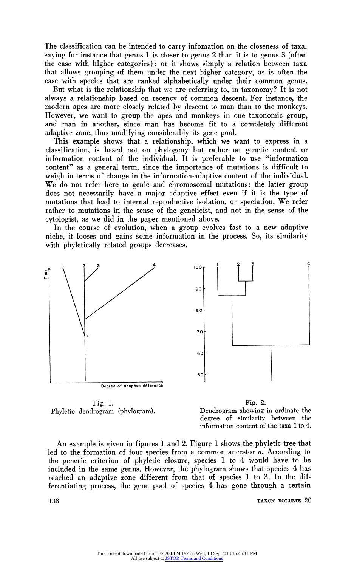**The classification can be intended to carry infomation on the closeness of taxa, saying for instance that genus 1 is closer to genus 2 than it is to genus 3 (often the case with higher categories); or it shows simply a relation between taxa that allows grouping of them under the next higher category, as is often the case with species that are ranked alphabetically under their common genus.** 

**But what is the relationship that we are referring to, in taxonomy? It is not always a relationship based on recency of common descent. For instance, the modern apes are more closely related by descent to man than to the monkeys. However, we want to group the apes and monkeys in one taxonomic group, and man in another, since man has become fit to a completely different adaptive zone, thus modifying considerably its gene pool.** 

**This example shows that a relationship, which we want to express in a classification, is based not on phylogeny but rather on genetic content or information content of the individual. It is preferable to use "information content" as a general term, since the importance of mutations is difficult to weigh in terms of change in the information-adaptive content of the individual. We do not refer here to genic and chromosomal mutations: the latter group does not necessarily have a major adaptive effect even if it is the type of mutations that lead to internal reproductive isolation, or speciation. We refer rather to mutations in the sense of the geneticist, and not in the sense of the cytologist, as we did in the paper mentioned above.** 

**In the course of evolution, when a group evolves fast to a new adaptive niche, it looses and gains some information in the process. So, its similarity with phyletically related groups decreases.** 



**Phyletic dendrogram (phylogram). Dendrogram showing in ordinate the degree of similarity between the information content of the taxa 1 to 4.** 

**An example is given in figures 1 and 2. Figure 1 shows the phyletic tree that led to the formation of four species from a common ancestor a. According to the generic criterion of phyletic closure, species 1 to 4 would have to be included in the same genus. However, the phylogram shows that species 4 has reached an adaptive zone different from that of species 1 to 3. In the differentiating process, the gene pool of species 4 has gone through a certain** 

**138 TAXON VOLUME 20**